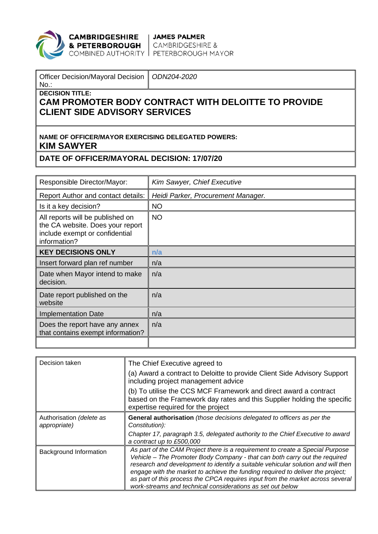

**CAMBRIDGESHIRE** JAMES PALMER<br> **& PETERBOROUGH** CAMBRIDGESHIRE &<br>
COMBINED AUTHORITY PETERBOROUGH MAYOR

| Officer Decision/Mayoral Decision   ODN204-2020 |  |
|-------------------------------------------------|--|
| I No                                            |  |

**DECISION TITLE:**

## **CAM PROMOTER BODY CONTRACT WITH DELOITTE TO PROVIDE CLIENT SIDE ADVISORY SERVICES**

## **NAME OF OFFICER/MAYOR EXERCISING DELEGATED POWERS: KIM SAWYER**

## **DATE OF OFFICER/MAYORAL DECISION: 17/07/20**

| Responsible Director/Mayor:                                                                                            | Kim Sawyer, Chief Executive        |
|------------------------------------------------------------------------------------------------------------------------|------------------------------------|
| Report Author and contact details:                                                                                     | Heidi Parker, Procurement Manager. |
| Is it a key decision?                                                                                                  | <b>NO</b>                          |
| All reports will be published on<br>the CA website. Does your report<br>include exempt or confidential<br>information? | <b>NO</b>                          |
| <b>KEY DECISIONS ONLY</b>                                                                                              | n/a                                |
| Insert forward plan ref number                                                                                         | n/a                                |
| Date when Mayor intend to make<br>decision.                                                                            | n/a                                |
| Date report published on the<br>website                                                                                | n/a                                |
| <b>Implementation Date</b>                                                                                             | n/a                                |
| Does the report have any annex<br>that contains exempt information?                                                    | n/a                                |
|                                                                                                                        |                                    |

| Decision taken                           | The Chief Executive agreed to<br>(a) Award a contract to Deloitte to provide Client Side Advisory Support<br>including project management advice<br>(b) To utilise the CCS MCF Framework and direct award a contract<br>based on the Framework day rates and this Supplier holding the specific<br>expertise required for the project                                                                                                                                             |
|------------------------------------------|-----------------------------------------------------------------------------------------------------------------------------------------------------------------------------------------------------------------------------------------------------------------------------------------------------------------------------------------------------------------------------------------------------------------------------------------------------------------------------------|
| Authorisation (delete as<br>appropriate) | General authorisation (those decisions delegated to officers as per the<br>Constitution):<br>Chapter 17, paragraph 3.5, delegated authority to the Chief Executive to award                                                                                                                                                                                                                                                                                                       |
|                                          | a contract up to £500,000                                                                                                                                                                                                                                                                                                                                                                                                                                                         |
| Background Information                   | As part of the CAM Project there is a requirement to create a Special Purpose<br>Vehicle - The Promoter Body Company - that can both carry out the required<br>research and development to identify a suitable vehicular solution and will then<br>engage with the market to achieve the funding required to deliver the project;<br>as part of this process the CPCA requires input from the market across several<br>work-streams and technical considerations as set out below |